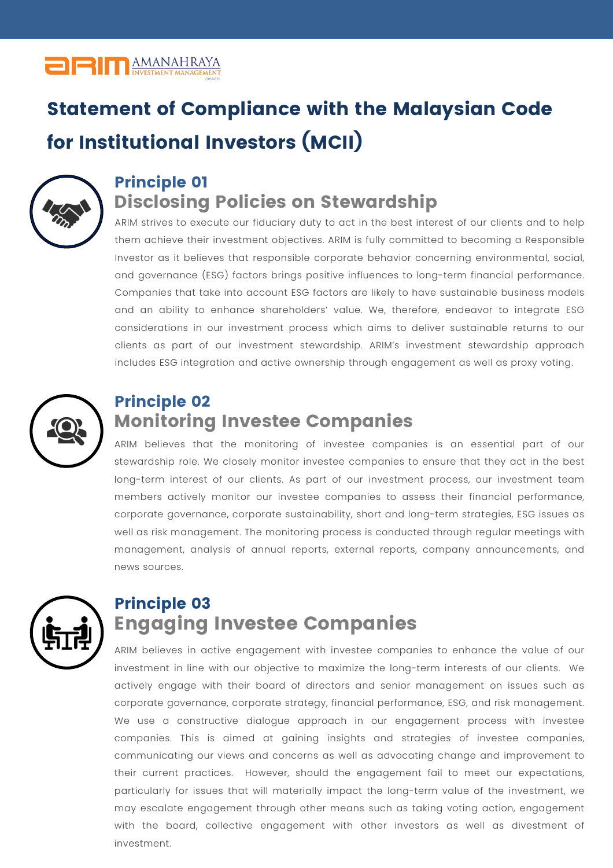## **ORITE AMANAHRAYA**

# Statement of Compliance with the Malaysian Code for Institutional Investors (MCII)



### Principle 01 **Disclosing Policies on Stewardship**

ARIM strives to execute our fiduciary duty to act in the best interest of our clients and to help them achieve their investment objectives. ARIM is fully committed to becoming a Responsible Investor as it believes that responsible corporate behavior concerning environmental, social, and governance (ESG) factors brings positive influences to long-term financial performance. Companies that take into account ESG factors are likely to have sustainable business models and an ability to enhance shareholders' value. We, therefore, endeavor to integrate ESG considerations in our investment process which aims to deliver sustainable returns to our clients as part of our investment stewardship. ARIM's investment stewardship approach includes ESG integration and active ownership through engagement as well as proxy voting.



#### Principle 02 **Monitoring Investee Companies**

ARIM believes that the monitoring of investee companies is an essential part of our stewardship role. We closely monitor investee companies to ensure that they act in the best long-term interest of our clients. As part of our investment process, our investment team members actively monitor our investee companies to assess their financial performance, corporate governance, corporate sustainability, short and long-term strategies, ESG issues as well as risk management. The monitoring process is conducted through regular meetings with management, analysis of annual reports, external reports, company announcements, and news sources.



#### Principle 03 **Engaging Investee Companies**

ARIM believes in active engagement with investee companies to enhance the value of our investment in line with our objective to maximize the long-term interests of our clients. We actively engage with their board of directors and senior management on issues such as corporate governance, corporate strategy, financial performance, ESG, and risk management. We use a constructive dialogue approach in our engagement process with investee companies. This is aimed at gaining insights and strategies of investee companies, communicating our views and concerns as well as advocating change and improvement to their current practices. However, should the engagement fail to meet our expectations, particularly for issues that will materially impact the long-term value of the investment, we may escalate engagement through other means such as taking voting action, engagement with the board, collective engagement with other investors as well as divestment of investment.